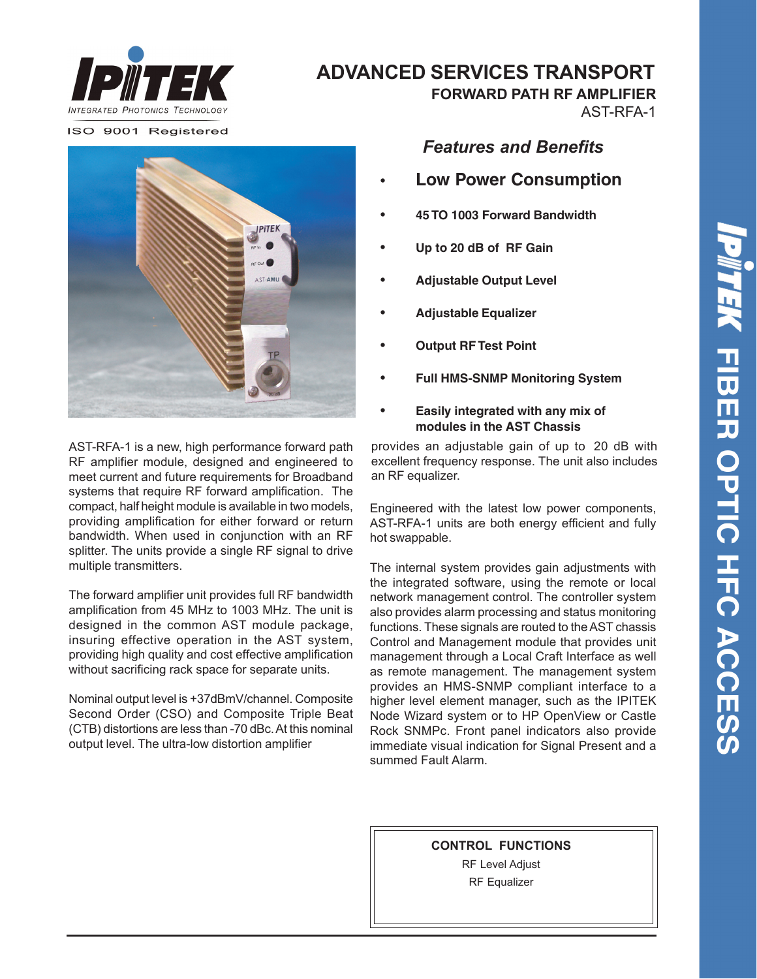

# **ADVANCED SERVICES TRANSPORT**

ISO 9001 Registered



AST-RFA-1 is a new, high performance forward path RF amplifier module, designed and engineered to meet current and future requirements for Broadband systems that require RF forward amplification. The compact, half height module is available in two models, providing amplification for either forward or return bandwidth. When used in conjunction with an RF splitter. The units provide a single RF signal to drive multiple transmitters.

The forward amplifier unit provides full RF bandwidth amplification from 45 MHz to 1003 MHz. The unit is designed in the common AST module package, insuring effective operation in the AST system, providing high quality and cost effective amplification without sacrificing rack space for separate units.

Nominal output level is +37dBmV/channel. Composite Second Order (CSO) and Composite Triple Beat (CTB) distortions are less than -70 dBc. At this nominal output level. The ultra-low distortion amplifier

*Features and Benefits*

 **FORWARD PATH RF AMPLIFIER**

AST-RFA-1

- **• Low Power Consumption**
- **• 45 TO 1003 Forward Bandwidth**
- **• Up to 20 dB of RF Gain**
- **• Adjustable Output Level**
- **• Adjustable Equalizer**
- **• Output RF Test Point**
- **• Full HMS-SNMP Monitoring System**

### **• Easily integrated with any mix of modules in the AST Chassis**

provides an adjustable gain of up to 20 dB with excellent frequency response. The unit also includes an RF equalizer.

Engineered with the latest low power components, AST-RFA-1 units are both energy efficient and fully hot swappable.

The internal system provides gain adjustments with the integrated software, using the remote or local network management control. The controller system also provides alarm processing and status monitoring functions. These signals are routed to the AST chassis Control and Management module that provides unit management through a Local Craft Interface as well as remote management. The management system provides an HMS-SNMP compliant interface to a higher level element manager, such as the IPITEK Node Wizard system or to HP OpenView or Castle Rock SNMPc. Front panel indicators also provide immediate visual indication for Signal Present and a summed Fault Alarm.

**CONTROL FUNCTIONS**

RF Level Adjust RF Equalizer